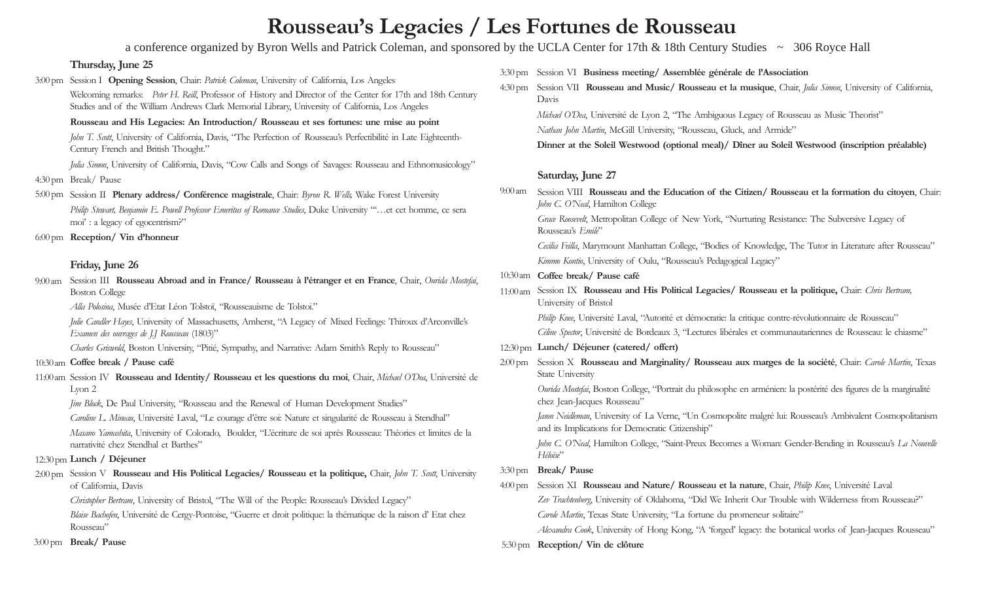# **Rousseau's Legacies / Les Fortunes de Rousseau**

a conference organized by Byron Wells and Patrick Coleman, and sponsored by the UCLA Center for 17th & 18th Century Studies ~ 306 Royce Hall

# **Thursday, June 25**

3:00 pm Session I Opening Session, Chair: *Patrick Coleman*, University of California, Los Angeles Welcoming remarks: *Peter H. Reill*, Professor of History and Director of the Center for 17th and 18th Century Studies and of the William Andrews Clark Memorial Library, University of California, Los Angeles **Rousseau and His Legacies: An Introduction/ Rousseau et ses fortunes: une mise au point** *John T. Scott*, University of California, Davis, "The Perfection of Rousseau's Perfectibilité in Late Eighteenth-Century French and British Thought." *Julia Simon*, University of California, Davis, "Cow Calls and Songs of Savages: Rousseau and Ethnomusicology" Break/ Pause 4:30 pm 5:00 pm Session II Plenary address/ Conférence magistrale, Chair: *Byron R. Wells*, Wake Forest University *Philip Stewart, Benjamin E. Powell Professor Emeritus of Romance Studies*, Duke University "'…et cet homme, ce sera moi' : a legacy of egocentrism?" **Reception/ Vin d'honneur** 6:00 pm **Friday, June 26** Session III **Rousseau Abroad and in France/ Rousseau à l'étranger et en France**, Chair, *Ourida Mostefai*, 9:00 am Boston College

*Alla Polosina*, Musée d'Etat Léon Tolstoï, "Rousseauisme de Tolstoi."

*Julie Candler Hayes*, University of Massachusetts, Amherst, "A Legacy of Mixed Feelings: Thiroux d'Arconville's *Examen des ouvrages de J.J Rousseau* (1803)"

*Charles Griswold*, Boston University, "Pitié, Sympathy, and Narrative: Adam Smith's Reply to Rousseau"

### **Coffee break / Pause café** 10:30 am

11:00 am Session IV Rousseau and Identity/ Rousseau et les questions du moi, Chair, Michael O'Dea, Université de Lyon 2

*Jim Block*, De Paul University, "Rousseau and the Renewal of Human Development Studies"

*Caroline L. Mineau*, Université Laval, "Le courage d'être soi: Nature et singularité de Rousseau à Stendhal"

*Masano Yamashita*, University of Colorado, Boulder, "L'écriture de soi après Rousseau: Théories et limites de la narrativité chez Stendhal et Barthes"

# **Lunch / Déjeuner** 12:30 pm

2:00 pm Session V Rousseau and His Political Legacies/ Rousseau et la politique, Chair, *John T. Scott*, University of California, Davis

*Christopher Bertram*, University of Bristol, "The Will of the People: Rousseau's Divided Legacy"

*Blaise Bachofen*, Université de Cergy-Pontoise, "Guerre et droit politique: la thématique de la raison d' Etat chez Rousseau"

**Break/ Pause** 3:00 pm

- 3:30 pm Session VI Business meeting/ Assemblée générale de l'Association
- 4:30 pm Session VII Rousseau and Music/ Rousseau et la musique, Chair, *Julia Simon*, University of California, Davis

*Michael O'Dea*, Université de Lyon 2, "The Ambiguous Legacy of Rousseau as Music Theorist"

*Nathan John Martin*, McGill University, "Rousseau, Gluck, and Armide"

**Dinner at the Soleil Westwood (optional meal)/ Dîner au Soleil Westwood (inscription préalable)**

# **Saturday, June 27**

Session VIII **Rousseau and the Education of the Citizen/ Rousseau et la formation du citoyen**, Chair: *John C. O'Neal*, Hamilton College 9:00 am

*Grace Roosevelt*, Metropolitan College of New York, "Nurturing Resistance: The Subversive Legacy of Rousseau's *Emile*"

*Cecilia Feilla*, Marymount Manhattan College, "Bodies of Knowledge, The Tutor in Literature after Rousseau" *Kimmo Kontio*, University of Oulu, "Rousseau's Pedagogical Legacy"

- **Coffee break/ Pause café** 10:30 am
- 11:00 am Session IX Rousseau and His Political Legacies/ Rousseau et la politique, Chair: Chris Bertram, University of Bristol

*Philip Knee*, Université Laval, "Autorité et démocratie: la critique contre-révolutionnaire de Rousseau"

*Céline Spector*, Université de Bordeaux 3, "Lectures libérales et communautariennes de Rousseau: le chiasme"

- **Lunch/ Déjeuner (catered/ offert)** 12:30 pm
- 2:00 pm Session X Rousseau and Marginality / Rousseau aux marges de la société, Chair: *Carole Martin*, Texas State University

*Ourida Mostefai*, Boston College, "Portrait du philosophe en arménien: la postérité des figures de la marginalité chez Jean-Jacques Rousseau"

*Jason Neidleman*, University of La Verne, "Un Cosmopolite malgré lui: Rousseau's Ambivalent Cosmopolitanism and its Implications for Democratic Citizenship"

*John C. O'Neal*, Hamilton College, "Saint-Preux Becomes a Woman: Gender-Bending in Rousseau's *La Nouvelle Héloïse*"

# **Break/ Pause** 3:30 pm

4:00 pm Session XI Rousseau and Nature/ Rousseau et la nature, Chair, *Philip Knee*, Université Laval

Zev Trachtenberg, University of Oklahoma, "Did We Inherit Our Trouble with Wilderness from Rousseau?" *Carole Martin*, Texas State University, "La fortune du promeneur solitaire"

*Alexandra Cook*, University of Hong Kong, "A 'forged' legacy: the botanical works of Jean-Jacques Rousseau" **Reception/ Vin de clôture** 5:30 pm